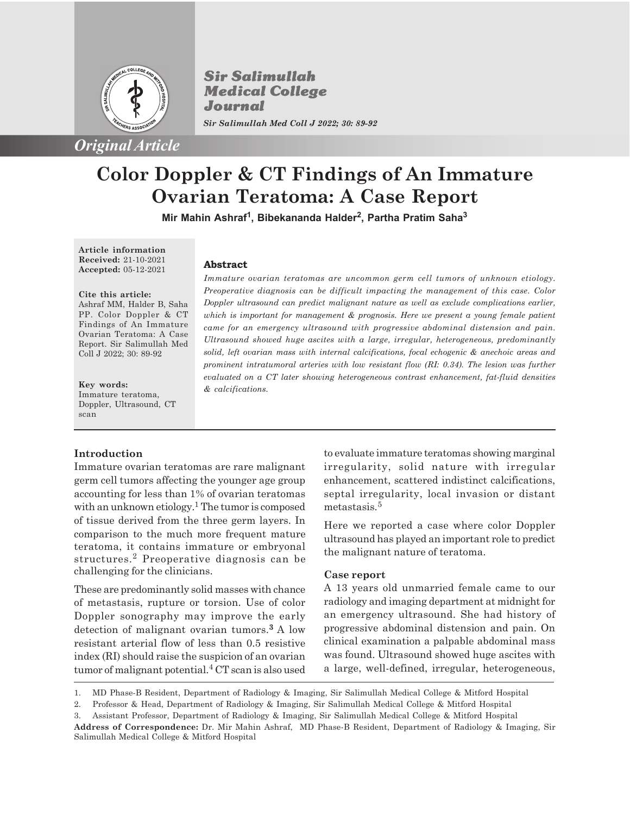

**Sir Salimullah Medical College** Journal *Sir Salimullah Med Coll J 2022; 30: 89-92*

# **Color Doppler & CT Findings of An Immature Ovarian Teratoma: A Case Report**

**Mir Mahin Ashraf<sup>1</sup> , Bibekananda Halder<sup>2</sup> , Partha Pratim Saha<sup>3</sup>**

**Article information Received:** 21-10-2021 **Accepted:** 05-12-2021

**Cite this article:** Ashraf MM, Halder B, Saha PP. Color Doppler & CT Findings of An Immature Ovarian Teratoma: A Case Report. Sir Salimullah Med Coll J 2022; 30: 89-92

**Key words:** Immature teratoma, Doppler, Ultrasound, CT scan

## **Abstract**

*Immature ovarian teratomas are uncommon germ cell tumors of unknown etiology. Preoperative diagnosis can be difficult impacting the management of this case. Color Doppler ultrasound can predict malignant nature as well as exclude complications earlier, which is important for management & prognosis. Here we present a young female patient came for an emergency ultrasound with progressive abdominal distension and pain. Ultrasound showed huge ascites with a large, irregular, heterogeneous, predominantly solid, left ovarian mass with internal calcifications, focal echogenic & anechoic areas and prominent intratumoral arteries with low resistant flow (RI: 0.34). The lesion was further evaluated on a CT later showing heterogeneous contrast enhancement, fat-fluid densities & calcifications.*

## **Introduction**

Immature ovarian teratomas are rare malignant germ cell tumors affecting the younger age group accounting for less than 1% of ovarian teratomas with an unknown etiology.<sup>1</sup> The tumor is composed of tissue derived from the three germ layers. In comparison to the much more frequent mature teratoma, it contains immature or embryonal structures.<sup>2</sup> Preoperative diagnosis can be challenging for the clinicians.

These are predominantly solid masses with chance of metastasis, rupture or torsion. Use of color Doppler sonography may improve the early detection of malignant ovarian tumors.**3** A low resistant arterial flow of less than 0.5 resistive index (RI) should raise the suspicion of an ovarian tumor of malignant potential.<sup>4</sup>  $CT$  scan is also used to evaluate immature teratomas showing marginal irregularity, solid nature with irregular enhancement, scattered indistinct calcifications, septal irregularity, local invasion or distant metastasis.<sup>5</sup>

Here we reported a case where color Doppler ultrasound has played an important role to predict the malignant nature of teratoma.

## **Case report**

A 13 years old unmarried female came to our radiology and imaging department at midnight for an emergency ultrasound. She had history of progressive abdominal distension and pain. On clinical examination a palpable abdominal mass was found. Ultrasound showed huge ascites with a large, well-defined, irregular, heterogeneous,

<sup>1.</sup> MD Phase-B Resident, Department of Radiology & Imaging, Sir Salimullah Medical College & Mitford Hospital

<sup>2.</sup> Professor & Head, Department of Radiology & Imaging, Sir Salimullah Medical College & Mitford Hospital

<sup>3.</sup> Assistant Professor, Department of Radiology & Imaging, Sir Salimullah Medical College & Mitford Hospital

**Address of Correspondence:** Dr. Mir Mahin Ashraf, MD Phase-B Resident, Department of Radiology & Imaging, Sir Salimullah Medical College & Mitford Hospital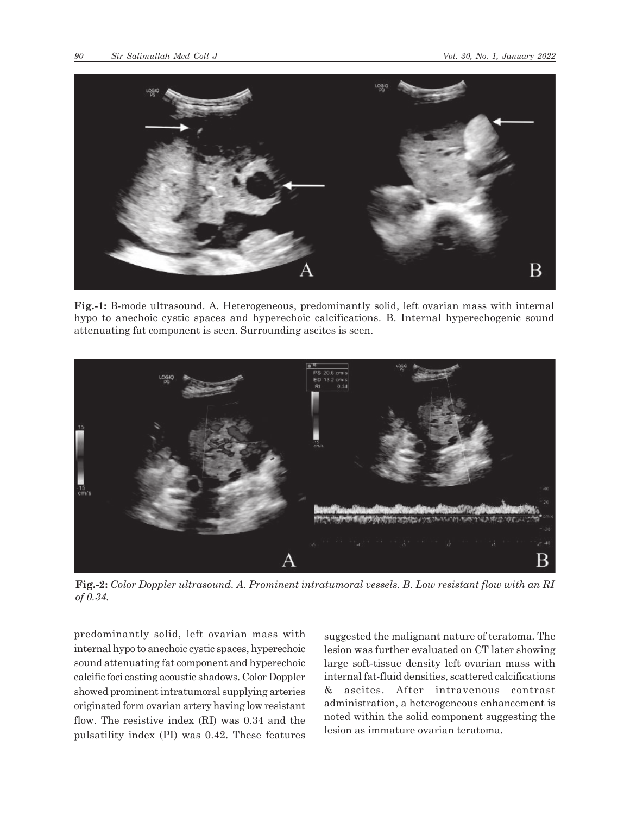

**Fig.-1:** B-mode ultrasound. A. Heterogeneous, predominantly solid, left ovarian mass with internal hypo to anechoic cystic spaces and hyperechoic calcifications. B. Internal hyperechogenic sound attenuating fat component is seen. Surrounding ascites is seen.



**Fig.-2:** *Color Doppler ultrasound. A. Prominent intratumoral vessels. B. Low resistant flow with an RI of 0.34.*

predominantly solid, left ovarian mass with internal hypo to anechoic cystic spaces, hyperechoic sound attenuating fat component and hyperechoic calcific foci casting acoustic shadows. Color Doppler showed prominent intratumoral supplying arteries originated form ovarian artery having low resistant flow. The resistive index (RI) was 0.34 and the pulsatility index (PI) was 0.42. These features

suggested the malignant nature of teratoma. The lesion was further evaluated on CT later showing large soft-tissue density left ovarian mass with internal fat-fluid densities, scattered calcifications & ascites. After intravenous contrast administration, a heterogeneous enhancement is noted within the solid component suggesting the lesion as immature ovarian teratoma.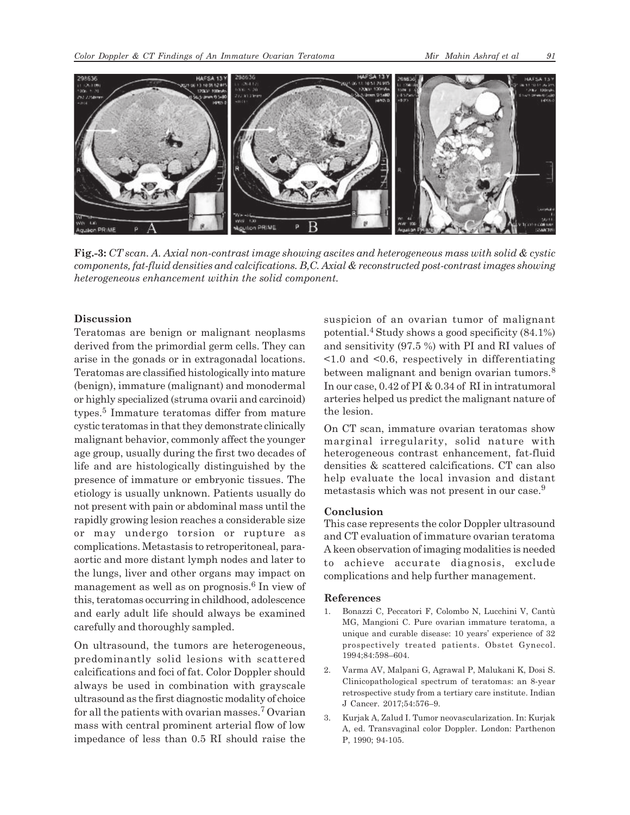

**Fig.-3:** *CT scan. A. Axial non-contrast image showing ascites and heterogeneous mass with solid & cystic components, fat-fluid densities and calcifications. B,C. Axial & reconstructed post-contrast images showing heterogeneous enhancement within the solid component.*

### **Discussion**

Teratomas are benign or malignant neoplasms derived from the primordial germ cells. They can arise in the gonads or in extragonadal locations. Teratomas are classified histologically into mature (benign), immature (malignant) and monodermal or highly specialized (struma ovarii and carcinoid) types.<sup>5</sup> Immature teratomas differ from mature cystic teratomas in that they demonstrate clinically malignant behavior, commonly affect the younger age group, usually during the first two decades of life and are histologically distinguished by the presence of immature or embryonic tissues. The etiology is usually unknown. Patients usually do not present with pain or abdominal mass until the rapidly growing lesion reaches a considerable size or may undergo torsion or rupture as complications. Metastasis to retroperitoneal, paraaortic and more distant lymph nodes and later to the lungs, liver and other organs may impact on management as well as on prognosis.<sup>6</sup> In view of this, teratomas occurring in childhood, adolescence and early adult life should always be examined carefully and thoroughly sampled.

On ultrasound, the tumors are heterogeneous, predominantly solid lesions with scattered calcifications and foci of fat. Color Doppler should always be used in combination with grayscale ultrasound as the first diagnostic modality of choice for all the patients with ovarian masses.<sup>7</sup> Ovarian mass with central prominent arterial flow of low impedance of less than 0.5 RI should raise the suspicion of an ovarian tumor of malignant potential.<sup>4</sup> Study shows a good specificity  $(84.1\%)$ and sensitivity (97.5 %) with PI and RI values of  $\leq$ 1.0 and  $\leq$ 0.6, respectively in differentiating between malignant and benign ovarian tumors.<sup>8</sup> In our case, 0.42 of PI & 0.34 of RI in intratumoral arteries helped us predict the malignant nature of the lesion.

On CT scan, immature ovarian teratomas show marginal irregularity, solid nature with heterogeneous contrast enhancement, fat-fluid densities & scattered calcifications. CT can also help evaluate the local invasion and distant metastasis which was not present in our case.<sup>9</sup>

#### **Conclusion**

This case represents the color Doppler ultrasound and CT evaluation of immature ovarian teratoma A keen observation of imaging modalities is needed to achieve accurate diagnosis, exclude complications and help further management.

#### **References**

- 1. Bonazzi C, Peccatori F, Colombo N, Lucchini V, Cantù MG, Mangioni C. Pure ovarian immature teratoma, a unique and curable disease: 10 years' experience of 32 prospectively treated patients. Obstet Gynecol. 1994;84:598–604.
- 2. Varma AV, Malpani G, Agrawal P, Malukani K, Dosi S. Clinicopathological spectrum of teratomas: an 8-year retrospective study from a tertiary care institute. Indian J Cancer. 2017;54:576–9.
- 3. Kurjak A, Zalud I. Tumor neovascularization. In: Kurjak A, ed. Transvaginal color Doppler. London: Parthenon P, 1990; 94-105.